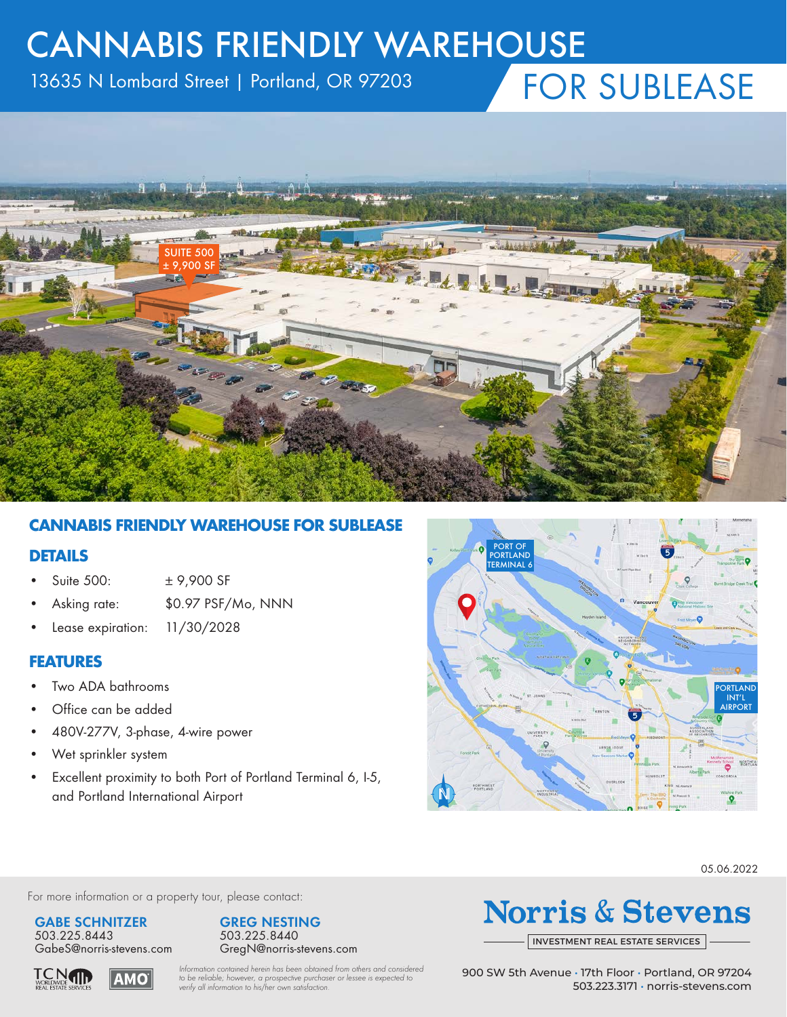# CANNABIS FRIENDLY WAREHOUSE

13635 N Lombard Street | Portland, OR 97203

# FOR SUBLEASE



## **CANNABIS FRIENDLY WAREHOUSE FOR SUBLEASE**

#### **DETAILS**

- Suite 500: ± 9,900 SF
- Asking rate: \$0.97 PSF/Mo, NNN
- Lease expiration: 11/30/2028

#### **FEATURES**

- Two ADA bathrooms
- Office can be added
- 480V-277V, 3-phase, 4-wire power
- Wet sprinkler system
- Excellent proximity to both Port of Portland Terminal 6, I-5, and Portland International Airport



05.06.2022

For more information or a property tour, please contact:

#### **GABE SCHNITZER** 503.225.8443

**TCNTH** 



**AMO** 



# **Norris & Stevens**

INVESTMENT [REAL ESTATE SERVICES](http://www.norris-stevens.com)

*Information contained herein has been obtained from others and considered to be reliable; however, a prospective purchaser or lessee is expected to verify all information to his/her own satisfaction.*

900 SW 5th Avenue • 17th Floor • Portland, OR 97204 503.223.3171 • [norris-stevens.com](http://www.norris-stevens.com)